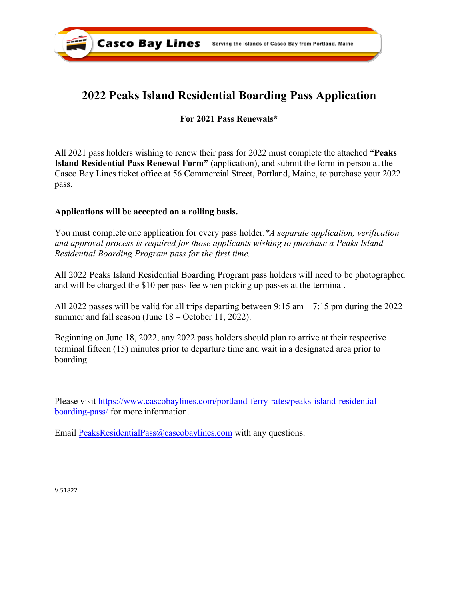

# **2022 Peaks Island Residential Boarding Pass Application**

## **For 2021 Pass Renewals\***

All 2021 pass holders wishing to renew their pass for 2022 must complete the attached **"Peaks Island Residential Pass Renewal Form"** (application), and submit the form in person at the Casco Bay Lines ticket office at 56 Commercial Street, Portland, Maine, to purchase your 2022 pass.

## **Applications will be accepted [on a rolling basis.](mailto:PeaksResidentialPass@Cascobaylines.com)**

You must complete one application for every pass holder.*\*A separate application, verification and approval process is required for those applicants wishing to purchase a Peaks Island Residential Boarding Program pass for the first time.* 

All 2022 Peaks Island Residential Boarding Program pass holders will need to be photographed and will be charged the \$10 per pass fee when picking up passes at the terminal.

All 2022 passes will be valid for all trips departing between 9:15 am – 7:15 pm during the 2022 summer and fall season (June 18 – October 11, 2022).

Beginning on June 18, 2022, any 2022 pass holders should plan to arrive at their respective terminal fifteen (15) minutes prior to departure time and wait in a designated area prior to boarding.

[Please visit https://www.cascobaylines.com/portland-ferry-rates/peaks-island-residential](https://www.cascobaylines.com/portland-ferry-rates/peaks-island-residential-boarding-pass/)boarding-pass/ for more information.

Email PeaksResidentialPass@cascobaylines.com with any questions.

V.51822